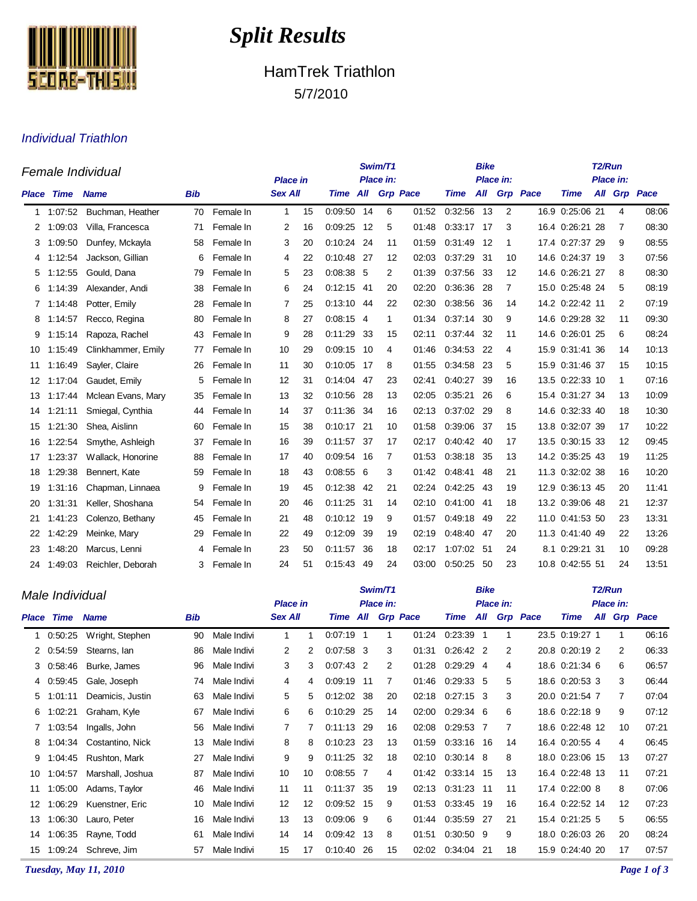

# *Split Results*

## HamTrek Triathlon 5/7/2010

#### Individual Triathlon

| Female Individual |                   |                    |            |           |                 |    |                   |      | Swim/T1   |       |            | <b>Bike</b> | Place in:         |              | T <sub>2</sub> /Run |  |    |              |  |
|-------------------|-------------------|--------------------|------------|-----------|-----------------|----|-------------------|------|-----------|-------|------------|-------------|-------------------|--------------|---------------------|--|----|--------------|--|
|                   |                   |                    |            |           | <b>Place in</b> |    |                   |      | Place in: |       |            |             | Place in:         |              |                     |  |    |              |  |
|                   | <b>Place Time</b> | <b>Name</b>        | <b>Bib</b> |           | <b>Sex All</b>  |    | Time All Grp Pace |      |           |       | Time       |             |                   | All Grp Pace | <b>Time</b>         |  |    | All Grp Pace |  |
| 1                 | 1:07:52           | Buchman, Heather   | 70         | Female In | $\mathbf{1}$    | 15 | 0:09:50 14        |      | 6         | 01:52 | 0:32:56    | 13          | 2                 |              | 16.9 0:25:06 21     |  | 4  | 08:06        |  |
| 2                 | 1:09:03           | Villa, Francesca   | 71         | Female In | 2               | 16 | 0:09:25           | 12   | 5         | 01:48 | 0:33:17    | 17          | 3                 |              | 16.4 0:26:21 28     |  | 7  | 08:30        |  |
| 3                 | 1:09:50           | Dunfey, Mckayla    | 58         | Female In | 3               | 20 | 0:10:24           | -24  | 11        | 01:59 | 0:31:49    | 12          | 1                 | 17.4         | 0:27:37 29          |  | 9  | 08:55        |  |
| 4                 | 1:12:54           | Jackson, Gillian   | 6          | Female In | 4               | 22 | 0:10:48 27        |      | 12        | 02:03 | 0:37:29 31 |             | 10                |              | 14.6 0:24:37 19     |  | 3  | 07:56        |  |
| 5                 | 1:12:55           | Gould, Dana        | 79         | Female In | 5               | 23 | $0.08:38$ 5       |      | 2         | 01:39 | 0:37:56    | - 33        | $12 \overline{ }$ |              | 14.6 0:26:21 27     |  | 8  | 08:30        |  |
| 6                 | 1:14:39           | Alexander, Andi    | 38         | Female In | 6               | 24 | $0:12:15$ 41      |      | 20        | 02:20 | 0:36:36    | -28         | 7                 |              | 15.0 0:25:48 24     |  | 5  | 08:19        |  |
| 7                 | 1:14:48           | Potter, Emily      | 28         | Female In | 7               | 25 | 0:13:10           | 44   | 22        | 02:30 | 0:38:56    | 36          | 14                |              | 14.2 0:22:42 11     |  | 2  | 07:19        |  |
| 8                 | 1:14:57           | Recco, Regina      | 80         | Female In | 8               | 27 | $0:08:15$ 4       |      | 1         | 01:34 | 0:37:14    | 30          | 9                 |              | 14.6 0:29:28 32     |  | 11 | 09:30        |  |
| 9                 | 1:15:14           | Rapoza, Rachel     | 43         | Female In | 9               | 28 | 0:11:29           | -33  | 15        | 02:11 | 0:37:44 32 |             | 11                |              | 14.6 0:26:01 25     |  | 6  | 08:24        |  |
| 10                | 1:15:49           | Clinkhammer, Emily | 77         | Female In | 10              | 29 | $0:09:15$ 10      |      | 4         | 01:46 | 0:34:53 22 |             | 4                 |              | 15.9 0:31:41 36     |  | 14 | 10:13        |  |
| 11                | 1:16:49           | Sayler, Claire     | 26         | Female In | 11              | 30 | 0:10:05           | 17   | 8         | 01:55 | 0:34:58    | -23         | 5                 |              | 15.9 0:31:46 37     |  | 15 | 10:15        |  |
| 12                | 1:17:04           | Gaudet, Emily      | 5          | Female In | 12              | 31 | 0:14:04           | 47   | 23        | 02:41 | 0:40:27    | 39          | 16                |              | 13.5 0:22:33 10     |  | 1  | 07:16        |  |
| 13                | 1.17.44           | Mclean Evans, Mary | 35         | Female In | 13              | 32 | 0:10:56           | -28  | 13        | 02:05 | 0:35:21    | 26          | 6                 |              | 15.4 0:31:27 34     |  | 13 | 10:09        |  |
| 14                | 1:21:11           | Smiegal, Cynthia   | 44         | Female In | 14              | 37 | 0:11:36           | -34  | 16        | 02:13 | 0:37:02    | - 29        | 8                 |              | 14.6 0:32:33 40     |  | 18 | 10:30        |  |
| 15                | 1:21:30           | Shea, Aislinn      | 60         | Female In | 15              | 38 | 0:10:17 21        |      | 10        | 01:58 | 0:39:06 37 |             | 15                |              | 13.8 0:32:07 39     |  | 17 | 10:22        |  |
| 16                | 1:22:54           | Smythe, Ashleigh   | 37         | Female In | 16              | 39 | 0:11:57 37        |      | 17        | 02:17 | 0:40:42 40 |             | 17                |              | 13.5 0:30:15 33     |  | 12 | 09:45        |  |
| 17                | 1:23:37           | Wallack, Honorine  | 88         | Female In | 17              | 40 | 0:09:54           | - 16 | 7         | 01:53 | 0:38:18    | -35         | 13                |              | 14.2 0:35:25 43     |  | 19 | 11:25        |  |
| 18                | 1:29:38           | Bennert, Kate      | 59         | Female In | 18              | 43 | 0:08:55           | - 6  | 3         | 01:42 | 0:48:41    | 48          | 21                |              | 11.3 0:32:02 38     |  | 16 | 10:20        |  |
| 19                | 1:31:16           | Chapman, Linnaea   | 9          | Female In | 19              | 45 | 0:12:38           | -42  | 21        | 02:24 | 0:42:25    | 43          | 19                |              | 12.9 0:36:13 45     |  | 20 | 11:41        |  |
| 20                | 1:31:31           | Keller, Shoshana   | 54         | Female In | 20              | 46 | $0:11:25$ 31      |      | 14        | 02:10 | 0:41:00    | - 41        | 18                |              | 13.2 0:39:06 48     |  | 21 | 12:37        |  |
| 21                | 1:41:23           | Colenzo, Bethany   | 45         | Female In | 21              | 48 | $0:10:12$ 19      |      | 9         | 01:57 | 0.49.18    | 49          | 22                |              | 11.0 0:41:53 50     |  | 23 | 13:31        |  |
| 22                | 1:42:29           | Meinke, Mary       | 29         | Female In | 22              | 49 | 0:12:09           | -39  | 19        | 02:19 | 0:48:40    | -47         | 20                |              | 11.3 0:41:40 49     |  | 22 | 13:26        |  |
| 23                | 1:48:20           | Marcus, Lenni      | 4          | Female In | 23              | 50 | 0:11:57           | -36  | 18        | 02:17 | 1:07:02    | -51         | 24                |              | 8.1 0:29:21 31      |  | 10 | 09:28        |  |
| 24                | 1.49.03           | Reichler, Deborah  | 3          | Female In | 24              | 51 | 0:15.43           | -49  | 24        | 03:00 | 0:50:25    | 50          | 23                |              | 10.8 0:42:55 51     |  | 24 | 13:51        |  |

|       | Male Individual |                  |     |                 |                | Swim/T1       |              |           |                | T2/Run          |             |           |    |                 |                 |     |    |                 |
|-------|-----------------|------------------|-----|-----------------|----------------|---------------|--------------|-----------|----------------|-----------------|-------------|-----------|----|-----------------|-----------------|-----|----|-----------------|
|       |                 |                  |     | <b>Place in</b> |                |               |              | Place in: |                |                 |             | Place in: |    | Place in:       |                 |     |    |                 |
| Place | Time            | <b>Name</b>      | Bib |                 | <b>Sex All</b> |               | Time         | All       |                | <b>Grp Pace</b> | Time        | All       |    | <b>Grp</b> Pace | <b>Time</b>     | All |    | <b>Grp Pace</b> |
|       | 0.50:25         | Wright, Stephen  | 90  | Male Indivi     | 1              | 1             | $0.07:19$ 1  |           | 1              | 01:24           | 0:23:39     | -1        |    |                 | 23.5 0:19:27 1  |     |    | 06:16           |
|       | 2 0:54:59       | Stearns, Ian     | 86  | Male Indivi     | 2              | $\mathcal{P}$ | $0.07:58$ 3  |           | 3              | 01:31           | $0.26.42$ 2 |           | 2  |                 | 20.8 0:20:19 2  |     | 2  | 06:33           |
|       | 3 0:58:46       | Burke, James     | 96  | Male Indivi     | 3              | 3             | $0:07:43$ 2  |           | $\overline{2}$ | 01:28           | $0.29.29$ 4 |           | 4  |                 | 18.6 0:21:34 6  |     | 6  | 06:57           |
|       | 4 0:59:45       | Gale, Joseph     | 74  | Male Indivi     | 4              | 4             | 0:09:19 11   |           | 7              | 01:46           | $0.29.33$ 5 |           | 5  |                 | 18.6 0:20:53 3  |     | 3  | 06:44           |
| 5     | 1:01:11         | Deamicis, Justin | 63  | Male Indivi     | 5              | 5             | $0:12:02$ 38 |           | 20             | 02:18           | $0:27:15$ 3 |           | 3  |                 | 20.0 0:21:54 7  |     | 7  | 07:04           |
| 6     | 1:02:21         | Graham, Kyle     | 67  | Male Indivi     | 6              | 6             | $0:10:29$ 25 |           | 14             | 02:00           | $0.29.34$ 6 |           | 6  |                 | 18.6 0:22:18 9  |     | 9  | 07:12           |
|       | 7 1:03:54       | Ingalls, John    | 56  | Male Indivi     | 7              | 7             | 0:11:13 29   |           | 16             | 02:08           | 0:29:53     | 7         | 7  |                 | 18.6 0:22:48 12 |     | 10 | 07:21           |
| 8     | 1:04:34         | Costantino, Nick | 13  | Male Indivi     | 8              | 8             | 0:10:23 23   |           | 13             | 01:59           | 0:33:16 16  |           | 14 |                 | 16.4 0:20:55 4  |     | 4  | 06:45           |
| 9     | 1:04:45         | Rushton, Mark    | 27  | Male Indivi     | 9              | 9             | 0:11:25 32   |           | 18             | 02:10           | $0:30:14$ 8 |           | 8  |                 | 18.0 0:23:06 15 |     | 13 | 07:27           |
| 10    | 1:04:57         | Marshall, Joshua | 87  | Male Indivi     | 10             | 10            | 0:08:55 7    |           | 4              | 01:42           | 0:33:14     | -15       | 13 |                 | 16.4 0:22:48 13 |     | 11 | 07:21           |
| 11    | 1:05:00         | Adams, Taylor    | 46  | Male Indivi     | 11             | 11            | 0:11:37 35   |           | 19             | 02:13           | 0:31:23 11  |           | 11 |                 | 17.4 0:22:00 8  |     | 8  | 07:06           |
| 12    | 1:06:29         | Kuenstner, Eric  | 10  | Male Indivi     | 12             | 12            | 0:09:52 15   |           | 9              | 01:53           | 0:33:45     | -19       | 16 |                 | 16.4 0:22:52 14 |     | 12 | 07:23           |
| 13    | 1:06:30         | Lauro, Peter     | 16  | Male Indivi     | 13             | 13            | $0:09:06$ 9  |           | 6              | 01:44           | 0:35:59     | 27        | 21 |                 | 15.4 0:21:25 5  |     | 5  | 06:55           |
| 14    | 1:06:35         | Rayne, Todd      | 61  | Male Indivi     | 14             | 14            | 0:09:42 13   |           | 8              | 01:51           | $0:30:50$ 9 |           | 9  |                 | 18.0 0:26:03 26 |     | 20 | 08:24           |
| 15    | 1:09:24         | Schreve, Jim     | 57  | Male Indivi     | 15             | 17            | 0:10:40      | 26        | 15             | 02:02           | 0:34:04     | -21       | 18 |                 | 15.9 0:24:40 20 |     | 17 | 07:57           |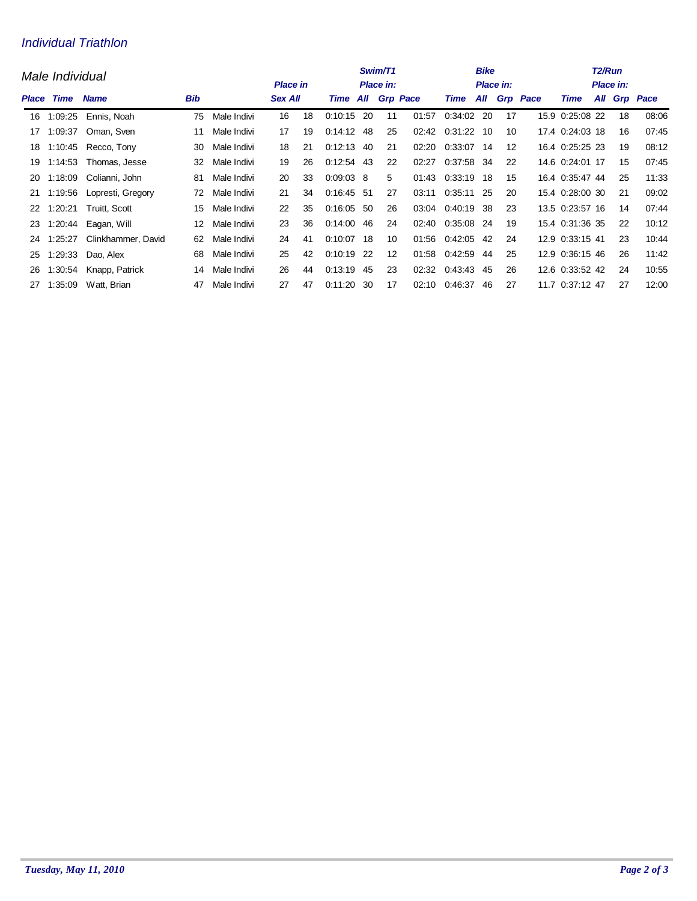### Individual Triathlon

|       | Male Individual     |                    | Swim/T1<br>Place in:<br><b>Place in</b> |             |                |    |                          |     |    | <b>Bike</b> | <b>Place in:</b> |     | T <sub>2</sub> /Run<br>Place in: |              |                 |  |    |              |
|-------|---------------------|--------------------|-----------------------------------------|-------------|----------------|----|--------------------------|-----|----|-------------|------------------|-----|----------------------------------|--------------|-----------------|--|----|--------------|
| Place | Time<br><b>Name</b> |                    | <b>Bib</b>                              |             | <b>Sex All</b> |    | <b>Time All Grp Pace</b> |     |    |             | Time             |     |                                  | All Grp Pace | Time            |  |    | All Grp Pace |
| 16    | 1:09:25             | Ennis, Noah        | 75                                      | Male Indivi | 16             | 18 | $0:10:15$ 20             |     | 11 | 01:57       | 0:34:02          | -20 | 17                               |              | 15.9 0:25:08 22 |  | 18 | 08:06        |
| 17    | 1:09:37             | Oman, Sven         | 11                                      | Male Indivi | 17             | 19 | 0:14:12                  | 48  | 25 | 02:42       | 0:31:22          | 10  | 10                               |              | 17.4 0:24:03 18 |  | 16 | 07:45        |
| 18    | 1:10:45             | Recco, Tony        | 30                                      | Male Indivi | 18             | 21 | $0:12:13$ 40             |     | 21 | 02:20       | 0:33:07 14       |     | 12                               |              | 16.4 0:25:25 23 |  | 19 | 08:12        |
| 19    | 1:14:53             | Thomas, Jesse      | 32                                      | Male Indivi | 19             | 26 | $0:12:54$ 43             |     | 22 | 02:27       | 0:37:58          | 34  | 22                               |              | 14.6 0:24:01 17 |  | 15 | 07:45        |
| 20    | 1:18:09             | Colianni, John     | 81                                      | Male Indivi | 20             | 33 | $0:09:03$ 8              |     | 5  | 01:43       | 0:33:19          | 18  | 15                               |              | 16.4 0:35:47 44 |  | 25 | 11:33        |
| 21    | 1:19:56             | Lopresti, Gregory  | 72                                      | Male Indivi | 21             | 34 | $0:16:45$ 51             |     | 27 | 03:11       | 0:35:11          | 25  | 20                               |              | 15.4 0:28:00 30 |  | 21 | 09:02        |
| 22    | 1.20.21             | Truitt, Scott      | 15                                      | Male Indivi | 22             | 35 | $0:16:05$ 50             |     | 26 | 03:04       | 0:40:19          | 38  | 23                               |              | 13.5 0:23:57 16 |  | 14 | 07:44        |
| 23    | 1:20:44             | Eagan, Will        | 12                                      | Male Indivi | 23             | 36 | 0.14:00                  | -46 | 24 | 02:40       | 0:35:08          | 24  | 19                               |              | 15.4 0:31:36 35 |  | 22 | 10:12        |
| 24    | 1:25:27             | Clinkhammer, David | 62                                      | Male Indivi | 24             | 41 | $0:10:07$ 18             |     | 10 |             | 01:56 0:42:05    | 42  | 24                               |              | 12.9 0:33:15 41 |  | 23 | 10:44        |
| 25    | 1:29:33             | Dao, Alex          | 68                                      | Male Indivi | 25             | 42 | $0:10:19$ 22             |     | 12 | 01:58       | 0:42:59          | 44  | 25                               |              | 12.9 0:36:15 46 |  | 26 | 11:42        |
| 26    | 1:30:54             | Knapp, Patrick     | 14                                      | Male Indivi | 26             | 44 | $0:13:19$ 45             |     | 23 | 02:32       | 0:43:43 45       |     | 26                               |              | 12.6 0:33:52 42 |  | 24 | 10:55        |
| 27    | 1:35:09             | Watt, Brian        | 47                                      | Male Indivi | 27             | 47 | 0:11:20                  | -30 | 17 | 02:10       | 0.46.37          | 46  | 27                               |              | 11.7 0:37:12 47 |  | 27 | 12:00        |